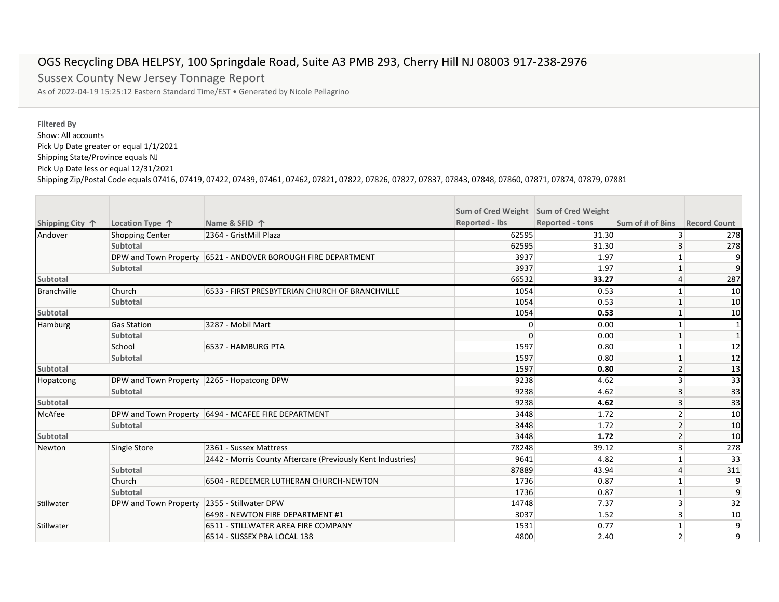## OGS Recycling DBA HELPSY, 100 Springdale Road, Suite A3 PMB 293, Cherry Hill NJ 08003 917-238-2976

Sussex County New Jersey Tonnage Report As of 2022-04-19 15:25:12 Eastern Standard Time/EST • Generated by Nicole Pellagrino

## **Filtered By**

Show: All accounts Pick Up Date greater or equal 1/1/2021 Shipping State/Province equals NJ Pick Up Date less or equal 12/31/2021

Shipping Zip/Postal Code equals 07416, 07419, 07422, 07439, 07461, 07462, 07821, 07822, 07826, 07827, 07837, 07843, 07848, 07860, 07871, 07874, 07879, 07881

|                    |                                            |                                                              | Sum of Cred Weight Sum of Cred Weight |                        |                  |                     |
|--------------------|--------------------------------------------|--------------------------------------------------------------|---------------------------------------|------------------------|------------------|---------------------|
| Shipping City 个    | Location Type 个                            | Name & SFID 个                                                | <b>Reported - lbs</b>                 | <b>Reported - tons</b> | Sum of # of Bins | <b>Record Count</b> |
| Andover            | <b>Shopping Center</b>                     | 2364 - GristMill Plaza                                       | 62595                                 | 31.30                  | 3                | 278                 |
|                    | Subtotal                                   |                                                              | 62595                                 | 31.30                  | 3                | 278                 |
|                    |                                            | DPW and Town Property 6521 - ANDOVER BOROUGH FIRE DEPARTMENT | 3937                                  | 1.97                   |                  |                     |
|                    | Subtotal                                   |                                                              | 3937                                  | 1.97                   |                  |                     |
| <b>Subtotal</b>    |                                            |                                                              | 66532                                 | 33.27                  | 4                | 287                 |
| <b>Branchville</b> | Church                                     | 6533 - FIRST PRESBYTERIAN CHURCH OF BRANCHVILLE              | 1054                                  | 0.53                   | $\mathbf{1}$     | 10                  |
|                    | <b>Subtotal</b>                            |                                                              | 1054                                  | 0.53                   |                  | 10                  |
| <b>Subtotal</b>    |                                            |                                                              | 1054                                  | 0.53                   |                  | 10                  |
| Hamburg            | <b>Gas Station</b>                         | 3287 - Mobil Mart                                            | 0                                     | 0.00                   |                  |                     |
|                    | Subtotal                                   |                                                              | $\Omega$                              | 0.00                   |                  |                     |
|                    | School                                     | 6537 - HAMBURG PTA                                           | 1597                                  | 0.80                   |                  | 12                  |
|                    | Subtotal                                   |                                                              | 1597                                  | 0.80                   |                  | 12                  |
| <b>Subtotal</b>    |                                            |                                                              | 1597                                  | 0.80                   | $\overline{2}$   | 13                  |
| Hopatcong          | DPW and Town Property 2265 - Hopatcong DPW |                                                              | 9238                                  | 4.62                   | 3                | 33                  |
|                    | <b>Subtotal</b>                            |                                                              | 9238                                  | 4.62                   | 3                | 33                  |
| <b>Subtotal</b>    |                                            |                                                              | 9238                                  | 4.62                   | 3                | 33                  |
| <b>McAfee</b>      |                                            | DPW and Town Property   6494 - MCAFEE FIRE DEPARTMENT        | 3448                                  | 1.72                   | $\overline{2}$   | 10                  |
|                    | Subtotal                                   |                                                              | 3448                                  | 1.72                   | 2                | 10                  |
| <b>Subtotal</b>    |                                            |                                                              | 3448                                  | 1.72                   | $\overline{2}$   | 10                  |
| Newton             | Single Store                               | 2361 - Sussex Mattress                                       | 78248                                 | 39.12                  | 3                | 278                 |
|                    |                                            | 2442 - Morris County Aftercare (Previously Kent Industries)  | 9641                                  | 4.82                   |                  | 33                  |
|                    | Subtotal                                   |                                                              | 87889                                 | 43.94                  | 4                | 311                 |
|                    | Church                                     | 6504 - REDEEMER LUTHERAN CHURCH-NEWTON                       | 1736                                  | 0.87                   |                  | 9                   |
|                    | Subtotal                                   |                                                              | 1736                                  | 0.87                   |                  | 9                   |
| Stillwater         | DPW and Town Property                      | 2355 - Stillwater DPW                                        | 14748                                 | 7.37                   | 3                | 32                  |
|                    |                                            | 6498 - NEWTON FIRE DEPARTMENT #1                             | 3037                                  | 1.52                   | 3                | 10                  |
| Stillwater         |                                            | 6511 - STILLWATER AREA FIRE COMPANY                          | 1531                                  | 0.77                   |                  | 9                   |
|                    |                                            | 6514 - SUSSEX PBA LOCAL 138                                  | 4800                                  | 2.40                   | $\overline{2}$   | 9                   |